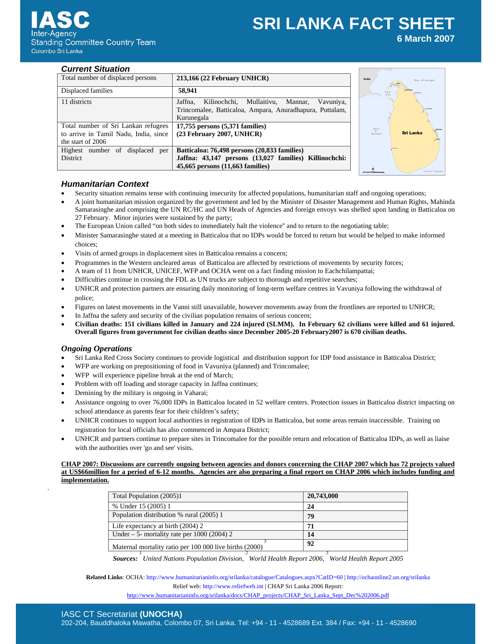# **SRI LANKA FACT SHEET 6 March 2007**

## *Current Situation*

| Total number of displaced persons     | 213,166 (22 February UNHCR)                              |
|---------------------------------------|----------------------------------------------------------|
| Displaced families                    | 58,941                                                   |
| 11 districts                          | Jaffna.<br>Kilinochchi, Mullaitivu, Mannar,<br>Vavuniya, |
|                                       | Trincomalee, Batticaloa, Ampara, Anuradhapura, Puttalam, |
|                                       | Kurunegala                                               |
| Total number of Sri Lankan refugees   | 17,755 persons (5,371 families)                          |
| to arrive in Tamil Nadu, India, since | (23 February 2007, UNHCR)                                |
| the start of 2006                     |                                                          |
| Highest number of displaced per       | Batticaloa: 76,498 persons (20,833 families)             |
| <b>District</b>                       | Jaffna: 43,147 persons (13,027 families) Killinochchi:   |
|                                       | 45,665 persons (11,663 families)                         |



# *Humanitarian Context*

- Security situation remains tense with continuing insecurity for affected populations, humanitarian staff and ongoing operations;
- A joint humanitarian mission organized by the government and led by the Minister of Disaster Management and Human Rights, Mahinda Samarasinghe and comprising the UN RC/HC and UN Heads of Agencies and foreign envoys was shelled upon landing in Batticaloa on 27 February. Minor injuries were sustained by the party;
- The European Union called "on both sides to immediately halt the violence'' and to return to the negotiating table;
- Minister Samarasinghe stated at a meeting in Batticaloa that no IDPs would be forced to return but would be helped to make informed choices;
- Visits of armed groups in displacement sites in Batticaloa remains a concern;
- Programmes in the Western uncleared areas of Batticaloa are affected by restrictions of movements by security forces;
- A team of 11 from UNHCR, UNICEF, WFP and OCHA went on a fact finding mission to Eachchilampattai;
- Difficulties continue in crossing the FDL as UN trucks are subject to thorough and repetitive searches;
- UNHCR and protection partners are ensuring daily monitoring of long-term welfare centres in Vavuniya following the withdrawal of police;
- Figures on latest movements in the Vanni still unavailable, however movements away from the frontlines are reported to UNHCR;
- In Jaffna the safety and security of the civilian population remains of serious concern;
- **Civilian deaths: 151 civilians killed in January and 224 injured (SLMM). In February 62 civilians were killed and 61 injured. Overall figures from government for civilian deaths since December 2005-20 February2007 is 670 civilian deaths.**

## *Ongoing Operations*

.

- Sri Lanka Red Cross Society continues to provide logistical and distribution support for IDP food assistance in Batticaloa District;
- WFP are working on prepositioning of food in Vavuniya (planned) and Trincomalee;
- WFP will experience pipeline break at the end of March;
- Problem with off loading and storage capacity in Jaffna continues;
- Demining by the military is ongoing in Vaharai;
- Assistance ongoing to over 76,000 IDPs in Batticaloa located in 52 welfare centers. Protection issues in Batticaloa district impacting on school attendance as parents fear for their children's safety;
- UNHCR continues to support local authorities in registration of IDPs in Batticaloa, but some areas remain inaccessible. Training on registration for local officials has also commenced in Ampara District;
- UNHCR and partners continue to prepare sites in Trincomalee for the possible return and relocation of Batticaloa IDPs, as well as liaise with the authorities over 'go and see' visits.

#### **CHAP 2007: Discussions are currently ongoing between agencies and donors concerning the CHAP 2007 which has 72 projects valued at US\$66million for a period of 6-12 months. Agencies are also preparing a final report on CHAP 2006 which includes funding and implementation.**

| Total Population (2005)1                                | 20,743,000 |
|---------------------------------------------------------|------------|
| % Under 15 (2005) 1                                     | 24         |
| Population distribution % rural (2005) 1                | 79         |
| Life expectancy at birth $(2004)$ 2                     | 71         |
| Under – 5- mortality rate per $1000 (2004) 2$           | 14         |
| Maternal mortality ratio per 100 000 live births (2000) | 92         |

*Sources: <sup>1</sup> United Nations Population Division, 2 World Health Report 2006, 3 World Health Report 2005* 

**Related Links**: OCHA: http://www.humanitarianinfo.org/srilanka/catalogue/Catalogues.aspx?CatID=60 | http://ochaonline2.un.org/srilanka Relief web: http://www.reliefweb.int | CHAP Sri Lanka 2006 Report:

http://www.humanitarianinfo.org/srilanka/docs/CHAP\_projects/CHAP\_Sri\_Lanka\_Sept\_Dec%202006.pdf